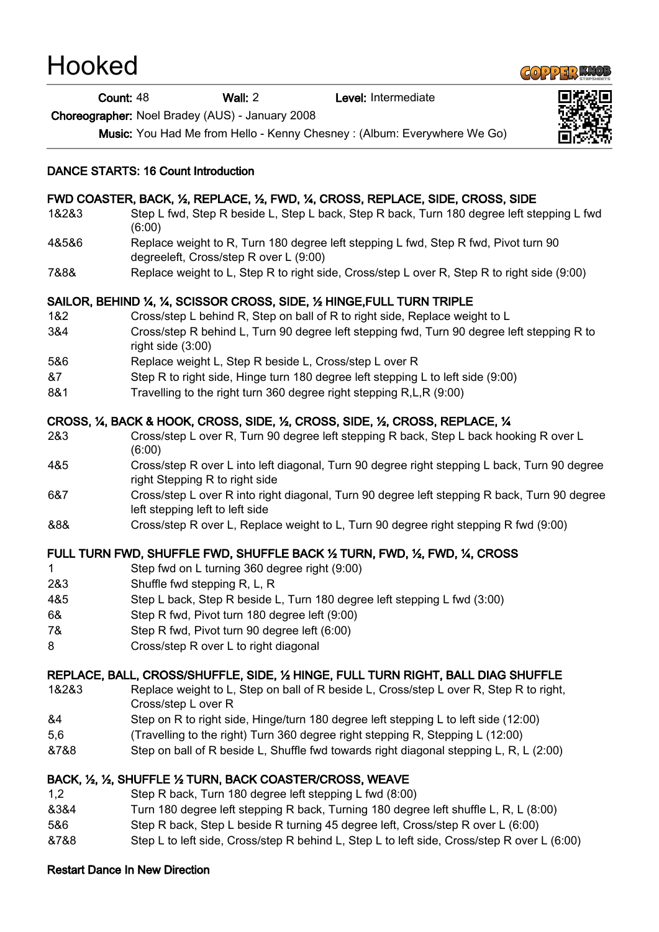# Hooked

**GOPPERKNOL** 

Count: 48 Wall: 2 Level: Intermediate

Choreographer: Noel Bradey (AUS) - January 2008

Music: You Had Me from Hello - Kenny Chesney : (Album: Everywhere We Go)

#### DANCE STARTS: 16 Count Introduction

# FWD COASTER, BACK, ½, REPLACE, ½, FWD, ¼, CROSS, REPLACE, SIDE, CROSS, SIDE

- 1&2&3 Step L fwd, Step R beside L, Step L back, Step R back, Turn 180 degree left stepping L fwd (6:00)
- 4&5&6 Replace weight to R, Turn 180 degree left stepping L fwd, Step R fwd, Pivot turn 90 degreeleft, Cross/step R over L (9:00)
- 7&8& Replace weight to L, Step R to right side, Cross/step L over R, Step R to right side (9:00)

# SAILOR, BEHIND ¼, ¼, SCISSOR CROSS, SIDE, ½ HINGE,FULL TURN TRIPLE

- 1&2 Cross/step L behind R, Step on ball of R to right side, Replace weight to L
- 3&4 Cross/step R behind L, Turn 90 degree left stepping fwd, Turn 90 degree left stepping R to right side (3:00)
- 5&6 Replace weight L, Step R beside L, Cross/step L over R
- &7 Step R to right side, Hinge turn 180 degree left stepping L to left side (9:00)
- 8&1 Travelling to the right turn 360 degree right stepping R,L,R (9:00)

# CROSS, ¼, BACK & HOOK, CROSS, SIDE, ½, CROSS, SIDE, ½, CROSS, REPLACE, ¼

- 2&3 Cross/step L over R, Turn 90 degree left stepping R back, Step L back hooking R over L (6:00)
- 4&5 Cross/step R over L into left diagonal, Turn 90 degree right stepping L back, Turn 90 degree right Stepping R to right side
- 6&7 Cross/step L over R into right diagonal, Turn 90 degree left stepping R back, Turn 90 degree left stepping left to left side
- &8& Cross/step R over L, Replace weight to L, Turn 90 degree right stepping R fwd (9:00)

## FULL TURN FWD, SHUFFLE FWD, SHUFFLE BACK ½ TURN, FWD, ½, FWD, ¼, CROSS

- 1 Step fwd on L turning 360 degree right (9:00)
- 2&3 Shuffle fwd stepping R, L, R
- 4&5 Step L back, Step R beside L, Turn 180 degree left stepping L fwd (3:00)
- 6& Step R fwd, Pivot turn 180 degree left (9:00)
- 7& Step R fwd, Pivot turn 90 degree left (6:00)
- 8 Cross/step R over L to right diagonal

## REPLACE, BALL, CROSS/SHUFFLE, SIDE, ½ HINGE, FULL TURN RIGHT, BALL DIAG SHUFFLE

- 1&2&3 Replace weight to L, Step on ball of R beside L, Cross/step L over R, Step R to right, Cross/step L over R
- &4 Step on R to right side, Hinge/turn 180 degree left stepping L to left side (12:00)
- 5,6 (Travelling to the right) Turn 360 degree right stepping R, Stepping L (12:00)
- &7&8 Step on ball of R beside L, Shuffle fwd towards right diagonal stepping L, R, L (2:00)

## BACK, ½, ½, SHUFFLE ½ TURN, BACK COASTER/CROSS, WEAVE

- 1,2 Step R back, Turn 180 degree left stepping L fwd (8:00)
- &3&4 Turn 180 degree left stepping R back, Turning 180 degree left shuffle L, R, L (8:00)
- 5&6 Step R back, Step L beside R turning 45 degree left, Cross/step R over L (6:00)
- &7&8 Step L to left side, Cross/step R behind L, Step L to left side, Cross/step R over L (6:00)

#### Restart Dance In New Direction